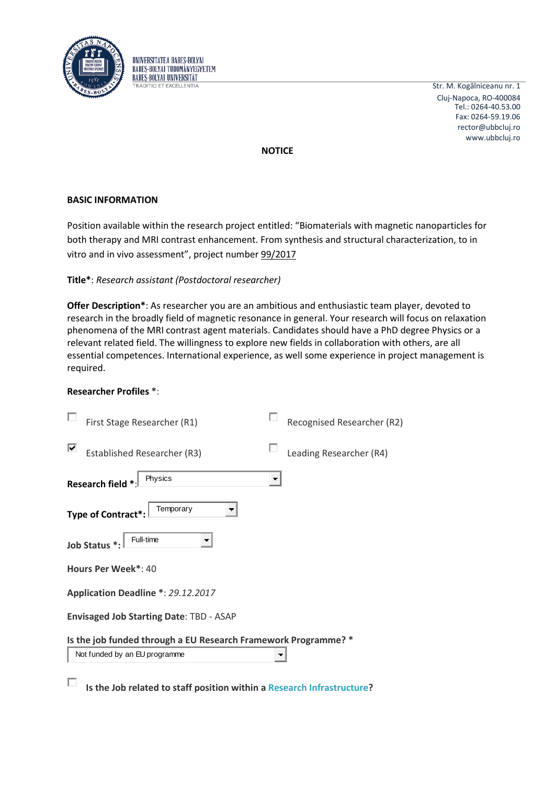



**NOTICE**

### **BASIC INFORMATION**

Position available within the research project entitled: "Biomaterials with magnetic nanoparticles for both therapy and MRI contrast enhancement. From synthesis and structural characterization, to in vitro and in vivo assessment", project number 99/2017

### **Title\***: *Research assistant (Postdoctoral researcher)*

UNIVERSITATEA BABES-BOLYAI **BARES-BOLYAL TUDOMÁNYEGYETEM BABES-BOLYAL UNIVERSITÄT RADITIO ET EXCELLENTIA** 

**Offer Description\***: As researcher you are an ambitious and enthusiastic team player, devoted to research in the broadly field of magnetic resonance in general. Your research will focus on relaxation phenomena of the MRI contrast agent materials. Candidates should have a PhD degree Physics or a relevant related field. The willingness to explore new fields in collaboration with others, are all essential competences. International experience, as well some experience in project management is required.

### **Researcher Profiles \***:

 $\overline{\mathcal{L}}$ 

|                                                | First Stage Researcher (R1)                                    |   | Recognised Researcher (R2) |
|------------------------------------------------|----------------------------------------------------------------|---|----------------------------|
|                                                | <b>Established Researcher (R3)</b>                             |   | Leading Researcher (R4)    |
|                                                | Physics<br>Research field *                                    | ▼ |                            |
|                                                | Temporary<br>Type of Contract*                                 |   |                            |
|                                                | Full-time<br>Job Status *:                                     |   |                            |
| Hours Per Week*: 40                            |                                                                |   |                            |
| Application Deadline *: 29.12.2017             |                                                                |   |                            |
| <b>Envisaged Job Starting Date: TBD - ASAP</b> |                                                                |   |                            |
|                                                | Is the job funded through a EU Research Framework Programme? * |   |                            |
|                                                | Not funded by an EU programme                                  |   |                            |

**Is the Job related to staff position within [a Research Infrastructure?](http://ec.europa.eu/research/infrastructures/index_en.cfm?pg=about)**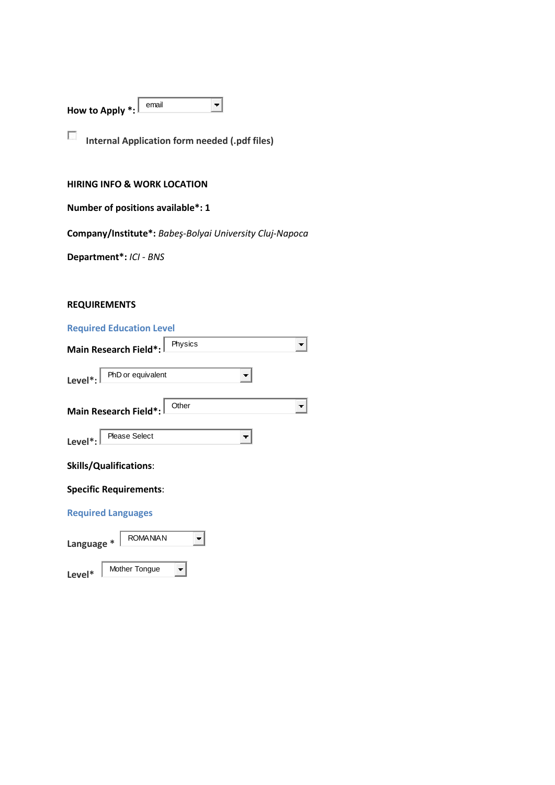| How to Apply *: L | email |  |
|-------------------|-------|--|
|                   |       |  |

**Internal Application form needed (.pdf files)**

## **HIRING INFO & WORK LOCATION**

|  |  | Number of positions available*: 1 |  |
|--|--|-----------------------------------|--|
|--|--|-----------------------------------|--|

**Company/Institute\*:** *Babeş-Bolyai University Cluj-Napoca*

**Department\*:** *ICI - BNS*

# **REQUIREMENTS**

| <b>Required Education Level</b> |  |
|---------------------------------|--|
|                                 |  |

**Level\*** Mother Tongue

| Physics<br>Main Research Field*:             |  |
|----------------------------------------------|--|
| PhD or equivalent<br>Level <sup>*</sup> :    |  |
| Other<br>Main Research Field*:               |  |
| <b>Please Select</b><br>Level <sup>*</sup> : |  |
| <b>Skills/Qualifications:</b>                |  |
| <b>Specific Requirements:</b>                |  |
| <b>Required Languages</b>                    |  |
| <b>ROMANIAN</b><br>Language                  |  |

 $\blacktriangledown$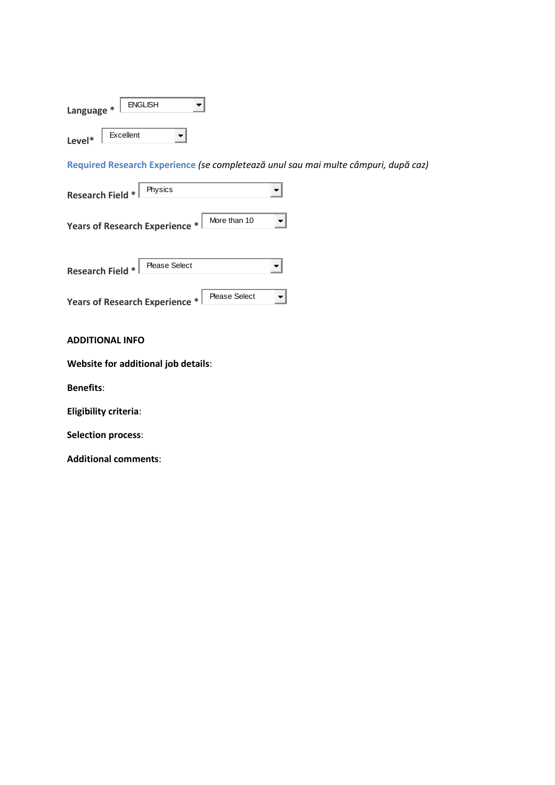| Language * | <b>ENGLISH</b> |  |
|------------|----------------|--|
| Level*     | Excellent      |  |

**Required Research Experience** *(se completează unul sau mai multe câmpuri, după caz)*

| Physics<br><b>Research Field *</b>                     |  |
|--------------------------------------------------------|--|
| More than 10<br>Years of Research Experience *         |  |
| <b>Please Select</b><br><b>Research Field *</b>        |  |
| <b>Please Select</b><br>Years of Research Experience * |  |

#### **ADDITIONAL INFO**

**Website for additional job details**:

**Benefits**:

**Eligibility criteria**:

**Selection process**:

**Additional comments**: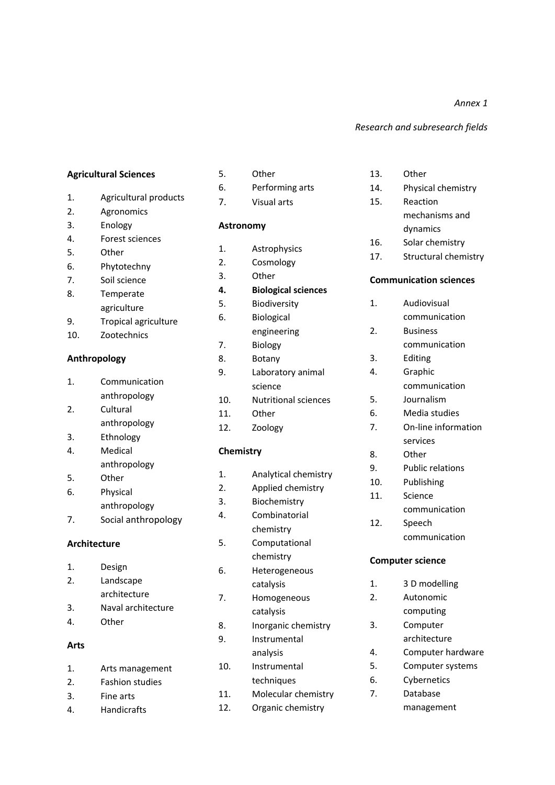*Annex 1*

#### *Research and subresearch fields*

#### **Agricultural Sciences**

- 1. Agricultural products
- 2. Agronomics
- 3. Enology
- 4. Forest sciences
- 5. Other
- 6. Phytotechny
- 7. Soil science
- 8. Temperate agriculture
- 9. Tropical agriculture
- 10. Zootechnics

#### **Anthropology**

- 1. Communication anthropology
- 2. Cultural
- anthropology
- 3. Ethnology 4. Medical
- anthropology
- 5. Other
- 6. Physical
- anthropology 7. Social anthropology

#### **Architecture**

1. Design 2. Landscape architecture 3. Naval architecture 4. Other

## **Arts**

1. Arts management 2. Fashion studies 3. Fine arts 4. Handicrafts

- 5. Other
- 6. Performing arts
- 7. Visual arts

#### **Astronomy**

- 1. Astrophysics
- 2. Cosmology
- 3. Other
- **4. Biological sciences**
- 5. Biodiversity
- 6. Biological engineering
- 7. Biology
- 8. Botany
- 9. Laboratory animal science
- 10. Nutritional sciences
- 11. Other
- 12. Zoology

### **Chemistry**

- 1. Analytical chemistry 2. Applied chemistry 3. Biochemistry
- 4. Combinatorial
- chemistry 5. Computational chemistry
- 6. Heterogeneous catalysis
- 7. Homogeneous catalysis
- 8. Inorganic chemistry
- 9. Instrumental analysis
- 10. Instrumental techniques
- 11. Molecular chemistry
- 12. Organic chemistry
- 13. Other
- 14. Physical chemistry
- 15. Reaction mechanisms and dynamics
- 16. Solar chemistry
- 17. Structural chemistry

#### **Communication sciences**

- 1. Audiovisual communication
- 2. Business
	- communication
- 3. Editing
- 4. Graphic
	- communication
- 5. Journalism
- 6. Media studies
- 7. On-line information services
- 8. Other
- 9. Public relations
- 10. Publishing
- 11. Science
	- communication
- 12. Speech communication

#### **Computer science**

- 1. 3 D modelling
- 2. Autonomic computing
- 3. Computer
- architecture
- 4. Computer hardware
- 5. Computer systems
- 6. Cybernetics
- 7. Database management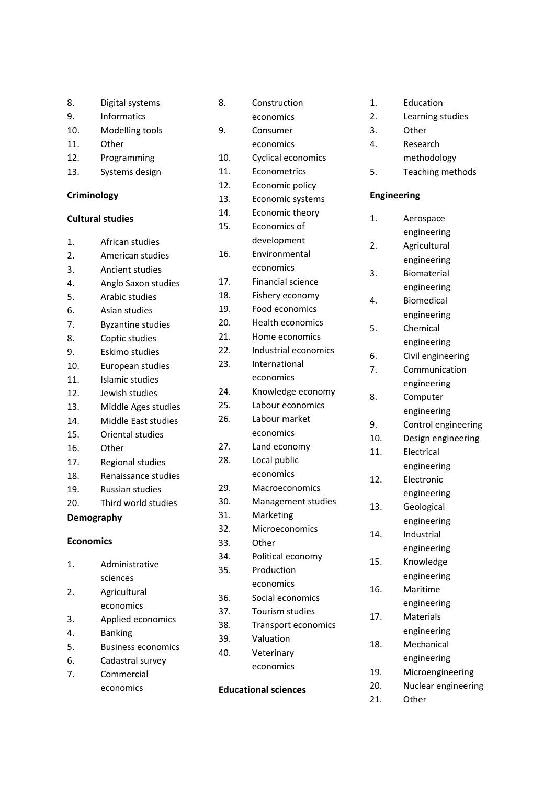- 9. Informatics
- 10. Modelling tools
- 11. Other
- 12. Programming
- 13. Systems design

#### **Criminology**

### **Cultural studies**

- 1. African studies
- 2. American studies
- 3. Ancient studies 4. Anglo Saxon studies
- 5. Arabic studies
- 6. Asian studies
- 7. Byzantine studies
- 8. Coptic studies
- 9. Eskimo studies
- 10. European studies
- 11. Islamic studies
- 12. Jewish studies
- 13. Middle Ages studies
- 14. Middle East studies
- 15. Oriental studies
- 16. Other
- 17. Regional studies
- 18. Renaissance studies
- 19. Russian studies
- 20. Third world studies

## **Demography**

### **Economics**

1. Administrative sciences 2. Agricultural economics 3. Applied economics 4. Banking 5. Business economics 6. Cadastral survey 7. Commercial economics

|                             | economics                  |
|-----------------------------|----------------------------|
| 9.                          | Consumer                   |
|                             | economics                  |
| 10.                         | Cyclical economics         |
| 11.                         | Econometrics               |
| 12.                         | Economic policy            |
| 13.                         | Economic systems           |
| 14.                         | Economic theory            |
| 15.                         | Economics of               |
|                             | development                |
| 16.                         | Environmental              |
|                             | economics                  |
| 17.                         | Financial science          |
| 18.                         | Fishery economy            |
| 19.                         | Food economics             |
| 20.                         | <b>Health economics</b>    |
| 21.                         | Home economics             |
| 22.                         | Industrial economics       |
| 23.                         | International              |
|                             | economics                  |
| 24.                         | Knowledge economy          |
| 25.                         | Labour economics           |
| 26.                         | Labour market              |
|                             | economics                  |
| 27.                         | Land economy               |
| 28.                         | Local public               |
|                             | economics                  |
| 29.                         | Macroeconomics             |
| 30.                         | Management studies         |
| 31.                         | Marketing                  |
| 32.                         | Microeconomics             |
| 33.                         | Other                      |
| 34.                         | Political economy          |
| 35.                         | Production                 |
|                             | economics                  |
| 36.                         | Social economics           |
| 37.                         | Tourism studies            |
| 38.                         | <b>Transport economics</b> |
| 39.                         | Valuation                  |
| 40.                         | Veterinary                 |
|                             | economics                  |
| <b>Educational sciences</b> |                            |

8. Construction

- 1. Education
- 2. Learning studies
- 3. Other
- 4. Research methodology
- 5. Teaching methods

### **Engineering**

- 1. Aerospace engineering 2. Agricultural engineering 3. Biomaterial engineering 4. Biomedical engineering 5. Chemical engineering 6. Civil engineering 7. Communication engineering 8. Computer engineering 9. Control engineering 10. Design engineering 11. Electrical engineering 12. Electronic engineering 13. Geological engineering 14. Industrial engineering 15. Knowledge engineering 16. Maritime engineering 17. Materials engineering 18. Mechanical engineering 19. Microengineering 20. Nuclear engineering
- 21. Other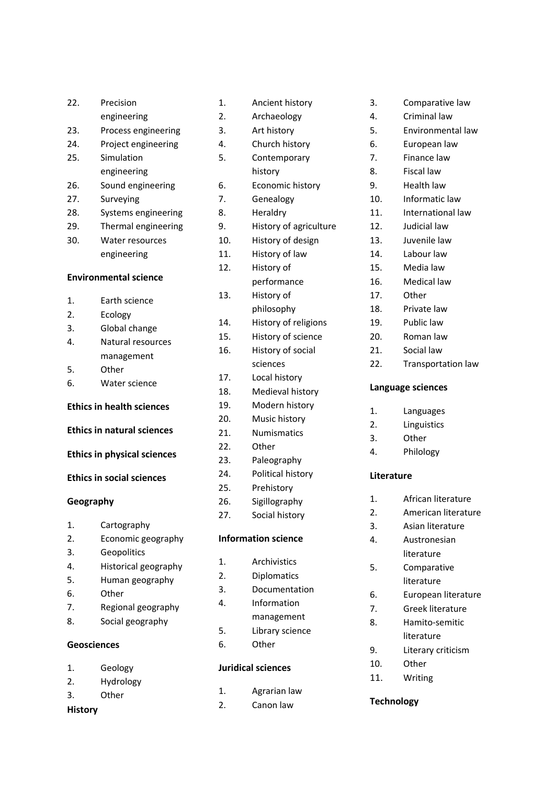| 22.              | Precision                          |
|------------------|------------------------------------|
|                  | engineering                        |
| 23.              | Process engineering                |
| 24.              | Project engineering                |
| 25.              | Simulation                         |
|                  | engineering                        |
| 26.              | Sound engineering                  |
| 27.              | Surveying                          |
| 28.              | Systems engineering                |
| 29.              | Thermal engineering                |
| 30.              | Water resources                    |
|                  | engineering                        |
|                  | <b>Environmental science</b>       |
| $\mathbf{1}$ .   | Earth science                      |
| 2.               | Ecology                            |
| 3.               | Global change                      |
| 4.               | Natural resources                  |
|                  | management                         |
| 5.               | Other                              |
| 6.               | Water science                      |
|                  | <b>Ethics in health sciences</b>   |
|                  | <b>Ethics in natural sciences</b>  |
|                  | <b>Ethics in physical sciences</b> |
|                  | <b>Ethics in social sciences</b>   |
| Geography        |                                    |
| 1.               | Cartography                        |
| $\overline{2}$ . | Economic geography                 |
| 3.               | Geopolitics                        |
| 4.               | Historical geography               |
| 5.               | Human geography                    |
| 6.               | Other                              |
| 7.               | Regional geography                 |
|                  |                                    |
| 8.               | Social geography                   |

- 1. Geology
- 2. Hydrology
- 3. Other

# **History**

| 1.               | Ancient history            |
|------------------|----------------------------|
| $\overline{2}$ . | Archaeology                |
| 3.               | Art history                |
| 4.               | Church history             |
| 5.               | Contemporary               |
|                  | history                    |
| 6.               | Economic history           |
| 7.               | Genealogy                  |
| 8.               | Heraldry                   |
| 9.               | History of agriculture     |
| 10.              | History of design          |
| 11.              | History of law             |
| 12.              | History of                 |
|                  | performance                |
| 13.              | History of                 |
|                  | philosophy                 |
| 14.              | History of religions       |
| 15.              | History of science         |
| 16.              | History of social          |
|                  | sciences                   |
| 17.              | Local history              |
| 18.              | Medieval history           |
| 19.              | Modern history             |
| 20.              | Music history              |
| 21.              | Numismatics                |
| 22.              | Other                      |
| 23.              | Paleography                |
| 24.              | Political history          |
| 25.              | Prehistory                 |
| 26.              | Sigillography              |
| 27.              | Social history             |
|                  | <b>Information science</b> |
| $\mathbf{1}$ .   | Archivistics               |
| $\overline{2}$ . | Diplomatics                |
| 3.               | Documentation              |
| 4.               | Information                |
|                  | management                 |
| 5.               | Library science            |
|                  |                            |

6. Other

## **Juridical sciences**

- 1. Agrarian law
- 2. Canon law
- 3. Comparative law
- 4. Criminal law
- 5. Environmental law
- 6. European law
- 7. Finance law
- 8. Fiscal law
- 9. Health law
- 10. Informatic law
- 11. International law
- 12. Judicial law
- 13. Juvenile law
- 14. Labour law
- 15. Media law
- 16. Medical law
- 17. Other
- 18. Private law
- 19. Public law
- 20. Roman law
- 21. Social law
- 22. Transportation law

## **Language sciences**

- 1. Languages
- 2. Linguistics
- 3. Other
- 4. Philology

## **Literature**

- 1. African literature
- 2. American literature
- 3. Asian literature
- 4. Austronesian literature
- 5. Comparative literature
- 6. European literature
- 7. Greek literature
- 8. Hamito-semitic literature
- 9. Literary criticism
- 10. Other
- 11. Writing

## **Technology**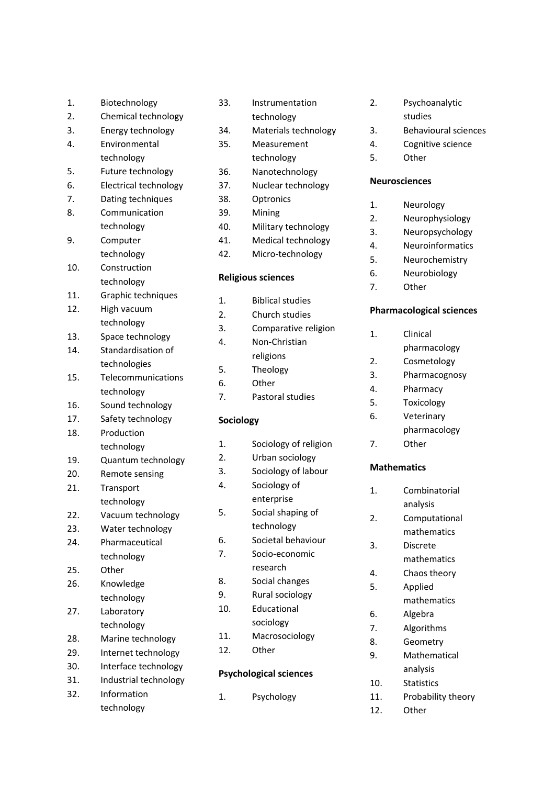| 1.               | Biotechnology         |
|------------------|-----------------------|
| $\overline{2}$ . | Chemical technology   |
| 3.               | Energy technology     |
| 4.               | Environmental         |
|                  | technology            |
| 5.               | Future technology     |
| 6.               | Electrical technology |
| 7.               | Dating techniques     |
| 8.               | Communication         |
|                  | technology            |
| 9.               | Computer              |
|                  | technology            |
| 10.              | Construction          |
|                  | technology            |
| 11.              | Graphic techniques    |
| 12.              | High vacuum           |
|                  | technology            |
| 13.              | Space technology      |
| 14.              | Standardisation of    |
|                  | technologies          |
| 15.              | Telecommunications    |
|                  | technology            |
| 16.              | Sound technology      |
| 17.              | Safety technology     |
| 18.              | Production            |
|                  | technology            |
| 19.              | Quantum technology    |
| 20.              | Remote sensing        |
| 21.              | Transport             |
|                  | technology            |
| 22.              | Vacuum technology     |
| 23.              | Water technology      |
| 24.              | Pharmaceutical        |
|                  | technology            |
| 25.              | Other                 |
| 26.              | Knowledge             |
|                  | technology            |
| 27.              | Laboratory            |
|                  | technology            |
| 28.              | Marine technology     |
| 29.              | Internet technology   |
| 30.              | Interface technology  |
| 31.              | Industrial technology |
| 32.              | Information           |
|                  | technology            |

| 35.                       | Measurement             |
|---------------------------|-------------------------|
|                           | technology              |
| 36.                       | Nanotechnology          |
| 37.                       | Nuclear technology      |
| 38.                       | Optronics               |
| 39.                       | Mining                  |
| 40.                       | Military technology     |
| 41.                       | Medical technology      |
| 42.                       | Micro-technology        |
| <b>Religious sciences</b> |                         |
| 1.                        | <b>Biblical studies</b> |
| $\overline{2}$ .          | Church studies          |
| 3.                        | Comparative religion    |
| 4.                        | Non-Christian           |
|                           | religions               |
| 5.                        | Theology                |
| 6.                        | Other                   |
| 7.                        | Pastoral studies        |
| Sociology                 |                         |
| 1.                        | Sociology of religion   |
| 2.                        | Urban sociology         |
| 3.                        | Sociology of labour     |
| 4.                        | Sociology of            |
|                           | enterprise              |
| 5.                        | Social shaping of       |
|                           | technology              |
| 6.                        | Societal behaviour      |
| 7.                        | Socio-economic          |
|                           | research                |
| 8.                        | Social changes          |
| 9.                        | Rural sociology         |
| 10.                       | Educational             |
|                           | sociology               |
| 11.                       | Macrosociology          |
| 12.                       | Other                   |

33. Instrumentation technology 34. Materials technology

### **Psychological sciences**

1. Psychology

- 2. Psychoanalytic studies
- 3. Behavioural sciences
- 4. Cognitive science
- 5. Other

## **Neurosciences**

- 1. Neurology
- 2. Neurophysiology
- 3. Neuropsychology
- 4. Neuroinformatics
- 5. Neurochemistry
- 6. Neurobiology
- 7. Other

## **Pharmacological sciences**

- 1. Clinical
	- pharmacology
- 2. Cosmetology
- 3. Pharmacognosy
- 4. Pharmacy
- 5. Toxicology
- 6. Veterinary pharmacology
- 7. Other

# **Mathematics**

- 1. Combinatorial analysis
- 2. Computational mathematics
- 3. Discrete mathematics
- 4. Chaos theory
- 5. Applied mathematics
- 6. Algebra
- 7. Algorithms
- 8. Geometry
- 9. Mathematical analysis
- 10. Statistics
- 11. Probability theory
- 12. Other